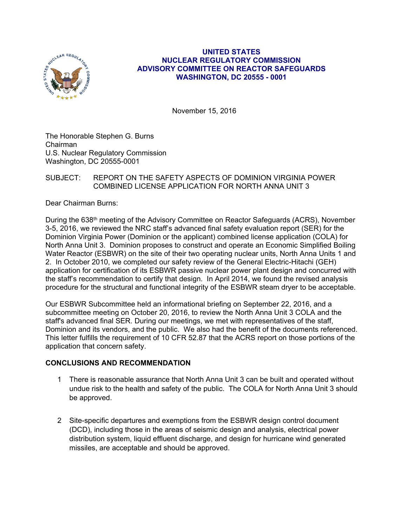

## **UNITED STATES NUCLEAR REGULATORY COMMISSION ADVISORY COMMITTEE ON REACTOR SAFEGUARDS WASHINGTON, DC 20555 - 0001**

November 15, 2016

The Honorable Stephen G. Burns Chairman U.S. Nuclear Regulatory Commission Washington, DC 20555-0001

## SUBJECT: REPORT ON THE SAFETY ASPECTS OF DOMINION VIRGINIA POWER COMBINED LICENSE APPLICATION FOR NORTH ANNA UNIT 3

Dear Chairman Burns:

During the 638<sup>th</sup> meeting of the Advisory Committee on Reactor Safeguards (ACRS), November 3-5, 2016, we reviewed the NRC staff's advanced final safety evaluation report (SER) for the Dominion Virginia Power (Dominion or the applicant) combined license application (COLA) for North Anna Unit 3. Dominion proposes to construct and operate an Economic Simplified Boiling Water Reactor (ESBWR) on the site of their two operating nuclear units, North Anna Units 1 and 2. In October 2010, we completed our safety review of the General Electric-Hitachi (GEH) application for certification of its ESBWR passive nuclear power plant design and concurred with the staff's recommendation to certify that design. In April 2014, we found the revised analysis procedure for the structural and functional integrity of the ESBWR steam dryer to be acceptable.

Our ESBWR Subcommittee held an informational briefing on September 22, 2016, and a subcommittee meeting on October 20, 2016, to review the North Anna Unit 3 COLA and the staff's advanced final SER. During our meetings, we met with representatives of the staff, Dominion and its vendors, and the public. We also had the benefit of the documents referenced. This letter fulfills the requirement of 10 CFR 52.87 that the ACRS report on those portions of the application that concern safety.

# **CONCLUSIONS AND RECOMMENDATION**

- 1 There is reasonable assurance that North Anna Unit 3 can be built and operated without undue risk to the health and safety of the public. The COLA for North Anna Unit 3 should be approved.
- 2 Site-specific departures and exemptions from the ESBWR design control document (DCD), including those in the areas of seismic design and analysis, electrical power distribution system, liquid effluent discharge, and design for hurricane wind generated missiles, are acceptable and should be approved.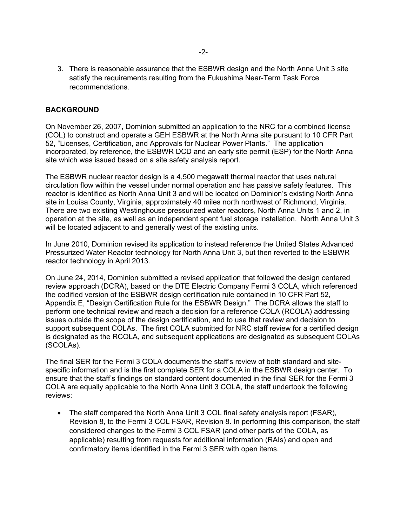3. There is reasonable assurance that the ESBWR design and the North Anna Unit 3 site satisfy the requirements resulting from the Fukushima Near-Term Task Force recommendations.

## **BACKGROUND**

On November 26, 2007, Dominion submitted an application to the NRC for a combined license (COL) to construct and operate a GEH ESBWR at the North Anna site pursuant to 10 CFR Part 52, "Licenses, Certification, and Approvals for Nuclear Power Plants." The application incorporated, by reference, the ESBWR DCD and an early site permit (ESP) for the North Anna site which was issued based on a site safety analysis report.

The ESBWR nuclear reactor design is a 4,500 megawatt thermal reactor that uses natural circulation flow within the vessel under normal operation and has passive safety features. This reactor is identified as North Anna Unit 3 and will be located on Dominion's existing North Anna site in Louisa County, Virginia, approximately 40 miles north northwest of Richmond, Virginia. There are two existing Westinghouse pressurized water reactors, North Anna Units 1 and 2, in operation at the site, as well as an independent spent fuel storage installation. North Anna Unit 3 will be located adjacent to and generally west of the existing units.

In June 2010, Dominion revised its application to instead reference the United States Advanced Pressurized Water Reactor technology for North Anna Unit 3, but then reverted to the ESBWR reactor technology in April 2013.

On June 24, 2014, Dominion submitted a revised application that followed the design centered review approach (DCRA), based on the DTE Electric Company Fermi 3 COLA, which referenced the codified version of the ESBWR design certification rule contained in 10 CFR Part 52, Appendix E, "Design Certification Rule for the ESBWR Design." The DCRA allows the staff to perform one technical review and reach a decision for a reference COLA (RCOLA) addressing issues outside the scope of the design certification, and to use that review and decision to support subsequent COLAs. The first COLA submitted for NRC staff review for a certified design is designated as the RCOLA, and subsequent applications are designated as subsequent COLAs (SCOLAs).

The final SER for the Fermi 3 COLA documents the staff's review of both standard and sitespecific information and is the first complete SER for a COLA in the ESBWR design center. To ensure that the staff's findings on standard content documented in the final SER for the Fermi 3 COLA are equally applicable to the North Anna Unit 3 COLA, the staff undertook the following reviews:

• The staff compared the North Anna Unit 3 COL final safety analysis report (FSAR), Revision 8, to the Fermi 3 COL FSAR, Revision 8. In performing this comparison, the staff considered changes to the Fermi 3 COL FSAR (and other parts of the COLA, as applicable) resulting from requests for additional information (RAIs) and open and confirmatory items identified in the Fermi 3 SER with open items.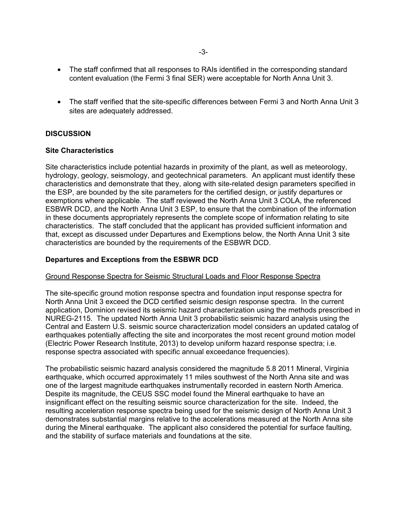- The staff confirmed that all responses to RAIs identified in the corresponding standard content evaluation (the Fermi 3 final SER) were acceptable for North Anna Unit 3.
- The staff verified that the site-specific differences between Fermi 3 and North Anna Unit 3 sites are adequately addressed.

## **DISCUSSION**

## **Site Characteristics**

Site characteristics include potential hazards in proximity of the plant, as well as meteorology, hydrology, geology, seismology, and geotechnical parameters. An applicant must identify these characteristics and demonstrate that they, along with site-related design parameters specified in the ESP, are bounded by the site parameters for the certified design, or justify departures or exemptions where applicable. The staff reviewed the North Anna Unit 3 COLA, the referenced ESBWR DCD, and the North Anna Unit 3 ESP, to ensure that the combination of the information in these documents appropriately represents the complete scope of information relating to site characteristics. The staff concluded that the applicant has provided sufficient information and that, except as discussed under Departures and Exemptions below, the North Anna Unit 3 site characteristics are bounded by the requirements of the ESBWR DCD.

## **Departures and Exceptions from the ESBWR DCD**

#### Ground Response Spectra for Seismic Structural Loads and Floor Response Spectra

The site-specific ground motion response spectra and foundation input response spectra for North Anna Unit 3 exceed the DCD certified seismic design response spectra. In the current application, Dominion revised its seismic hazard characterization using the methods prescribed in NUREG-2115. The updated North Anna Unit 3 probabilistic seismic hazard analysis using the Central and Eastern U.S. seismic source characterization model considers an updated catalog of earthquakes potentially affecting the site and incorporates the most recent ground motion model (Electric Power Research Institute, 2013) to develop uniform hazard response spectra; i.e. response spectra associated with specific annual exceedance frequencies).

The probabilistic seismic hazard analysis considered the magnitude 5.8 2011 Mineral, Virginia earthquake, which occurred approximately 11 miles southwest of the North Anna site and was one of the largest magnitude earthquakes instrumentally recorded in eastern North America. Despite its magnitude, the CEUS SSC model found the Mineral earthquake to have an insignificant effect on the resulting seismic source characterization for the site. Indeed, the resulting acceleration response spectra being used for the seismic design of North Anna Unit 3 demonstrates substantial margins relative to the accelerations measured at the North Anna site during the Mineral earthquake. The applicant also considered the potential for surface faulting, and the stability of surface materials and foundations at the site.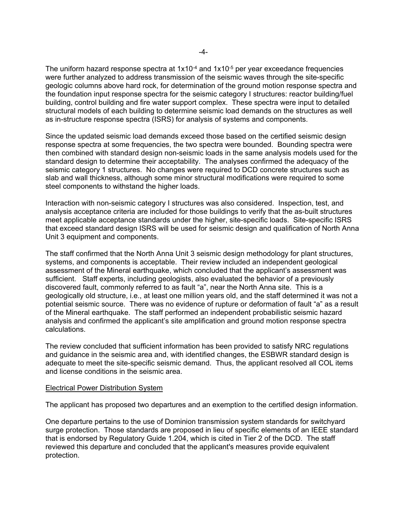The uniform hazard response spectra at  $1x10^{-4}$  and  $1x10^{-5}$  per year exceedance frequencies were further analyzed to address transmission of the seismic waves through the site-specific geologic columns above hard rock, for determination of the ground motion response spectra and the foundation input response spectra for the seismic category I structures: reactor building/fuel building, control building and fire water support complex. These spectra were input to detailed structural models of each building to determine seismic load demands on the structures as well as in-structure response spectra (ISRS) for analysis of systems and components.

Since the updated seismic load demands exceed those based on the certified seismic design response spectra at some frequencies, the two spectra were bounded. Bounding spectra were then combined with standard design non-seismic loads in the same analysis models used for the standard design to determine their acceptability. The analyses confirmed the adequacy of the seismic category 1 structures. No changes were required to DCD concrete structures such as slab and wall thickness, although some minor structural modifications were required to some steel components to withstand the higher loads.

Interaction with non-seismic category I structures was also considered. Inspection, test, and analysis acceptance criteria are included for those buildings to verify that the as-built structures meet applicable acceptance standards under the higher, site-specific loads. Site-specific ISRS that exceed standard design ISRS will be used for seismic design and qualification of North Anna Unit 3 equipment and components.

The staff confirmed that the North Anna Unit 3 seismic design methodology for plant structures, systems, and components is acceptable. Their review included an independent geological assessment of the Mineral earthquake, which concluded that the applicant's assessment was sufficient. Staff experts, including geologists, also evaluated the behavior of a previously discovered fault, commonly referred to as fault "a", near the North Anna site. This is a geologically old structure, i.e., at least one million years old, and the staff determined it was not a potential seismic source. There was no evidence of rupture or deformation of fault "a" as a result of the Mineral earthquake. The staff performed an independent probabilistic seismic hazard analysis and confirmed the applicant's site amplification and ground motion response spectra calculations.

The review concluded that sufficient information has been provided to satisfy NRC regulations and guidance in the seismic area and, with identified changes, the ESBWR standard design is adequate to meet the site-specific seismic demand. Thus, the applicant resolved all COL items and license conditions in the seismic area.

#### Electrical Power Distribution System

The applicant has proposed two departures and an exemption to the certified design information.

One departure pertains to the use of Dominion transmission system standards for switchyard surge protection. Those standards are proposed in lieu of specific elements of an IEEE standard that is endorsed by Regulatory Guide 1.204, which is cited in Tier 2 of the DCD. The staff reviewed this departure and concluded that the applicant's measures provide equivalent protection.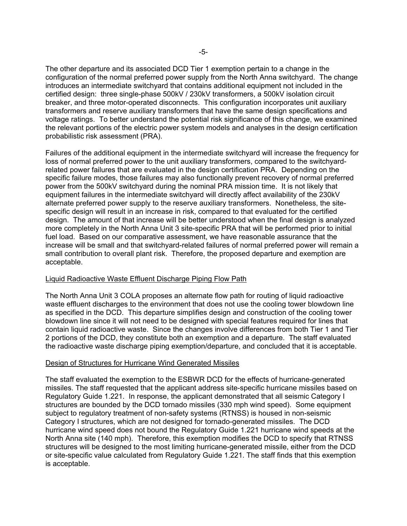The other departure and its associated DCD Tier 1 exemption pertain to a change in the configuration of the normal preferred power supply from the North Anna switchyard. The change introduces an intermediate switchyard that contains additional equipment not included in the certified design: three single-phase 500kV / 230kV transformers, a 500kV isolation circuit breaker, and three motor-operated disconnects. This configuration incorporates unit auxiliary transformers and reserve auxiliary transformers that have the same design specifications and voltage ratings. To better understand the potential risk significance of this change, we examined the relevant portions of the electric power system models and analyses in the design certification probabilistic risk assessment (PRA).

Failures of the additional equipment in the intermediate switchyard will increase the frequency for loss of normal preferred power to the unit auxiliary transformers, compared to the switchyardrelated power failures that are evaluated in the design certification PRA. Depending on the specific failure modes, those failures may also functionally prevent recovery of normal preferred power from the 500kV switchyard during the nominal PRA mission time. It is not likely that equipment failures in the intermediate switchyard will directly affect availability of the 230kV alternate preferred power supply to the reserve auxiliary transformers. Nonetheless, the sitespecific design will result in an increase in risk, compared to that evaluated for the certified design. The amount of that increase will be better understood when the final design is analyzed more completely in the North Anna Unit 3 site-specific PRA that will be performed prior to initial fuel load. Based on our comparative assessment, we have reasonable assurance that the increase will be small and that switchyard-related failures of normal preferred power will remain a small contribution to overall plant risk. Therefore, the proposed departure and exemption are acceptable.

## Liquid Radioactive Waste Effluent Discharge Piping Flow Path

The North Anna Unit 3 COLA proposes an alternate flow path for routing of liquid radioactive waste effluent discharges to the environment that does not use the cooling tower blowdown line as specified in the DCD. This departure simplifies design and construction of the cooling tower blowdown line since it will not need to be designed with special features required for lines that contain liquid radioactive waste. Since the changes involve differences from both Tier 1 and Tier 2 portions of the DCD, they constitute both an exemption and a departure. The staff evaluated the radioactive waste discharge piping exemption/departure, and concluded that it is acceptable.

## Design of Structures for Hurricane Wind Generated Missiles

The staff evaluated the exemption to the ESBWR DCD for the effects of hurricane-generated missiles. The staff requested that the applicant address site-specific hurricane missiles based on Regulatory Guide 1.221. In response, the applicant demonstrated that all seismic Category I structures are bounded by the DCD tornado missiles (330 mph wind speed). Some equipment subject to regulatory treatment of non-safety systems (RTNSS) is housed in non-seismic Category I structures, which are not designed for tornado-generated missiles. The DCD hurricane wind speed does not bound the Regulatory Guide 1.221 hurricane wind speeds at the North Anna site (140 mph). Therefore, this exemption modifies the DCD to specify that RTNSS structures will be designed to the most limiting hurricane-generated missile, either from the DCD or site-specific value calculated from Regulatory Guide 1.221. The staff finds that this exemption is acceptable.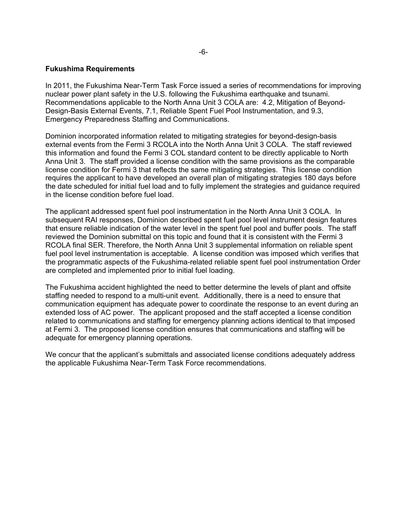## **Fukushima Requirements**

In 2011, the Fukushima Near-Term Task Force issued a series of recommendations for improving nuclear power plant safety in the U.S. following the Fukushima earthquake and tsunami. Recommendations applicable to the North Anna Unit 3 COLA are: 4.2, Mitigation of Beyond-Design-Basis External Events, 7.1, Reliable Spent Fuel Pool Instrumentation, and 9.3, Emergency Preparedness Staffing and Communications.

Dominion incorporated information related to mitigating strategies for beyond-design-basis external events from the Fermi 3 RCOLA into the North Anna Unit 3 COLA. The staff reviewed this information and found the Fermi 3 COL standard content to be directly applicable to North Anna Unit 3. The staff provided a license condition with the same provisions as the comparable license condition for Fermi 3 that reflects the same mitigating strategies. This license condition requires the applicant to have developed an overall plan of mitigating strategies 180 days before the date scheduled for initial fuel load and to fully implement the strategies and guidance required in the license condition before fuel load.

The applicant addressed spent fuel pool instrumentation in the North Anna Unit 3 COLA. In subsequent RAI responses, Dominion described spent fuel pool level instrument design features that ensure reliable indication of the water level in the spent fuel pool and buffer pools. The staff reviewed the Dominion submittal on this topic and found that it is consistent with the Fermi 3 RCOLA final SER. Therefore, the North Anna Unit 3 supplemental information on reliable spent fuel pool level instrumentation is acceptable. A license condition was imposed which verifies that the programmatic aspects of the Fukushima-related reliable spent fuel pool instrumentation Order are completed and implemented prior to initial fuel loading.

The Fukushima accident highlighted the need to better determine the levels of plant and offsite staffing needed to respond to a multi-unit event. Additionally, there is a need to ensure that communication equipment has adequate power to coordinate the response to an event during an extended loss of AC power. The applicant proposed and the staff accepted a license condition related to communications and staffing for emergency planning actions identical to that imposed at Fermi 3. The proposed license condition ensures that communications and staffing will be adequate for emergency planning operations.

We concur that the applicant's submittals and associated license conditions adequately address the applicable Fukushima Near-Term Task Force recommendations.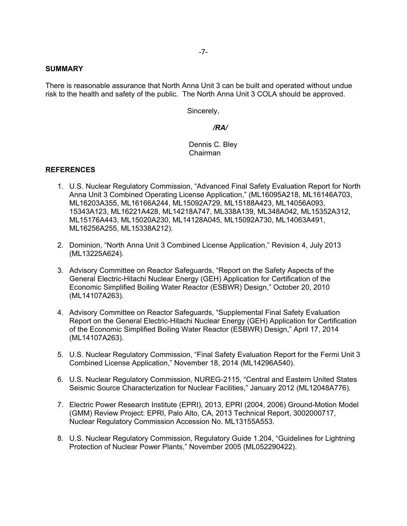#### **SUMMARY**

There is reasonable assurance that North Anna Unit 3 can be built and operated without undue risk to the health and safety of the public. The North Anna Unit 3 COLA should be approved.

Sincerely,

## */RA/*

## Dennis C. Bley Chairman

## **REFERENCES**

- 1. U.S. Nuclear Regulatory Commission, "Advanced Final Safety Evaluation Report for North Anna Unit 3 Combined Operating License Application," (ML16095A218, ML16146A703, ML16203A355, ML16166A244, ML15092A729, ML15188A423, ML14056A093, 15343A123, ML16221A428, ML14218A747, ML338A139, ML348A042, ML15352A312, ML15176A443, ML15020A230, ML14128A045, ML15092A730, ML14063A491, ML16256A255, ML15338A212).
- 2. Dominion, "North Anna Unit 3 Combined License Application," Revision 4, July 2013 (ML13225A624).
- 3. Advisory Committee on Reactor Safeguards, "Report on the Safety Aspects of the General Electric-Hitachi Nuclear Energy (GEH) Application for Certification of the Economic Simplified Boiling Water Reactor (ESBWR) Design," October 20, 2010 (ML14107A263).
- 4. Advisory Committee on Reactor Safeguards, "Supplemental Final Safety Evaluation Report on the General Electric-Hitachi Nuclear Energy (GEH) Application for Certification of the Economic Simplified Boiling Water Reactor (ESBWR) Design," April 17, 2014 (ML14107A263).
- 5. U.S. Nuclear Regulatory Commission, "Final Safety Evaluation Report for the Fermi Unit 3 Combined License Application," November 18, 2014 (ML14296A540).
- 6. U.S. Nuclear Regulatory Commission, NUREG-2115, "Central and Eastern United States Seismic Source Characterization for Nuclear Facilities," January 2012 (ML12048A776).
- 7. Electric Power Research Institute (EPRI), 2013, EPRI (2004, 2006) Ground-Motion Model (GMM) Review Project: EPRI, Palo Alto, CA, 2013 Technical Report, 3002000717, Nuclear Regulatory Commission Accession No. ML13155A553.
- 8. U.S. Nuclear Regulatory Commission, Regulatory Guide 1.204, "Guidelines for Lightning Protection of Nuclear Power Plants," November 2005 (ML052290422).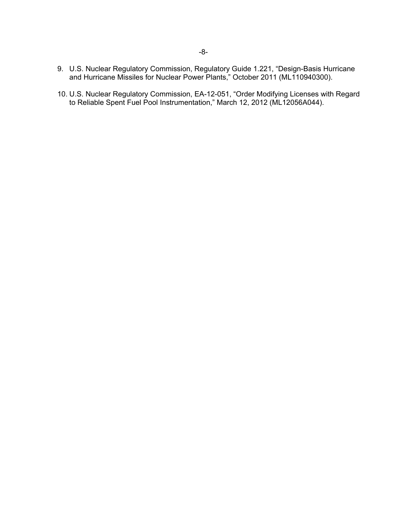- 9. U.S. Nuclear Regulatory Commission, Regulatory Guide 1.221, "Design-Basis Hurricane and Hurricane Missiles for Nuclear Power Plants," October 2011 (ML110940300).
- 10. U.S. Nuclear Regulatory Commission, EA-12-051, "Order Modifying Licenses with Regard to Reliable Spent Fuel Pool Instrumentation," March 12, 2012 (ML12056A044).